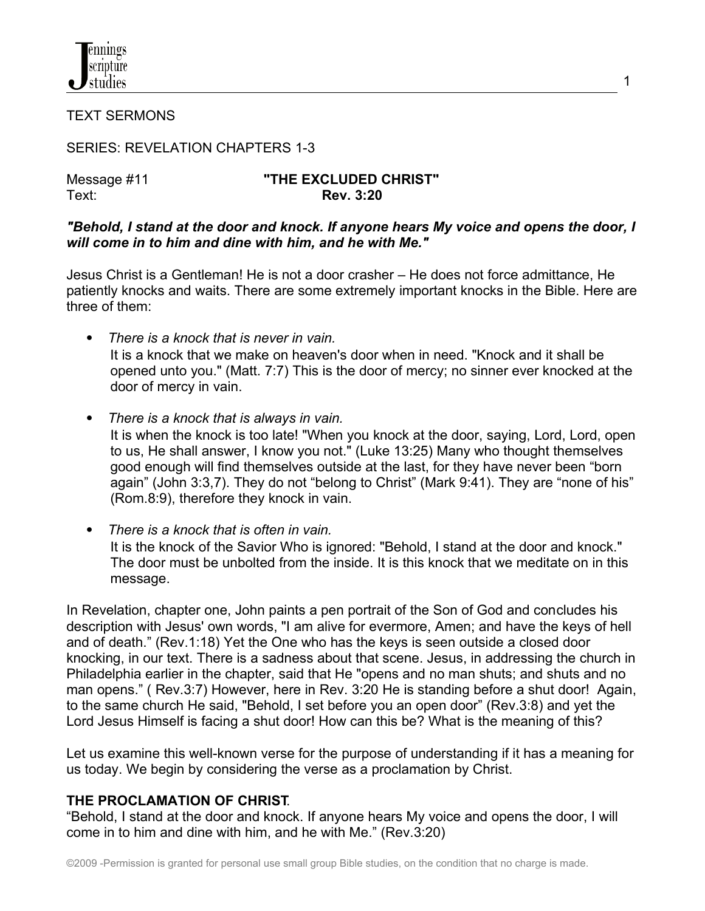

TEXT SERMONS

SERIES: REVELATION CHAPTERS 1-3

#### Message #11 **"THE EXCLUDED CHRIST"** Text: **Rev. 3:20**

1

#### *"Behold, I stand at the door and knock. If anyone hears My voice and opens the door, I will come in to him and dine with him, and he with Me."*

Jesus Christ is a Gentleman! He is not a door crasher – He does not force admittance, He patiently knocks and waits. There are some extremely important knocks in the Bible. Here are three of them:

- *There is a knock that is never in vain.* It is a knock that we make on heaven's door when in need. "Knock and it shall be opened unto you." (Matt. 7:7) This is the door of mercy; no sinner ever knocked at the door of mercy in vain.
- *There is a knock that is always in vain.*  It is when the knock is too late! "When you knock at the door, saying, Lord, Lord, open to us, He shall answer, I know you not." (Luke 13:25) Many who thought themselves good enough will find themselves outside at the last, for they have never been "born again" (John 3:3,7). They do not "belong to Christ" (Mark 9:41). They are "none of his" (Rom.8:9), therefore they knock in vain.
- *There is a knock that is often in vain.*  It is the knock of the Savior Who is ignored: "Behold, I stand at the door and knock." The door must be unbolted from the inside. It is this knock that we meditate on in this message.

In Revelation, chapter one, John paints a pen portrait of the Son of God and concludes his description with Jesus' own words, "I am alive for evermore, Amen; and have the keys of hell and of death." (Rev.1:18) Yet the One who has the keys is seen outside a closed door knocking, in our text. There is a sadness about that scene. Jesus, in addressing the church in Philadelphia earlier in the chapter, said that He "opens and no man shuts; and shuts and no man opens." ( Rev.3:7) However, here in Rev. 3:20 He is standing before a shut door! Again, to the same church He said, "Behold, I set before you an open door" (Rev.3:8) and yet the Lord Jesus Himself is facing a shut door! How can this be? What is the meaning of this?

Let us examine this well-known verse for the purpose of understanding if it has a meaning for us today. We begin by considering the verse as a proclamation by Christ.

## **THE PROCLAMATION OF CHRIST**.

"Behold, I stand at the door and knock. If anyone hears My voice and opens the door, I will come in to him and dine with him, and he with Me." (Rev.3:20)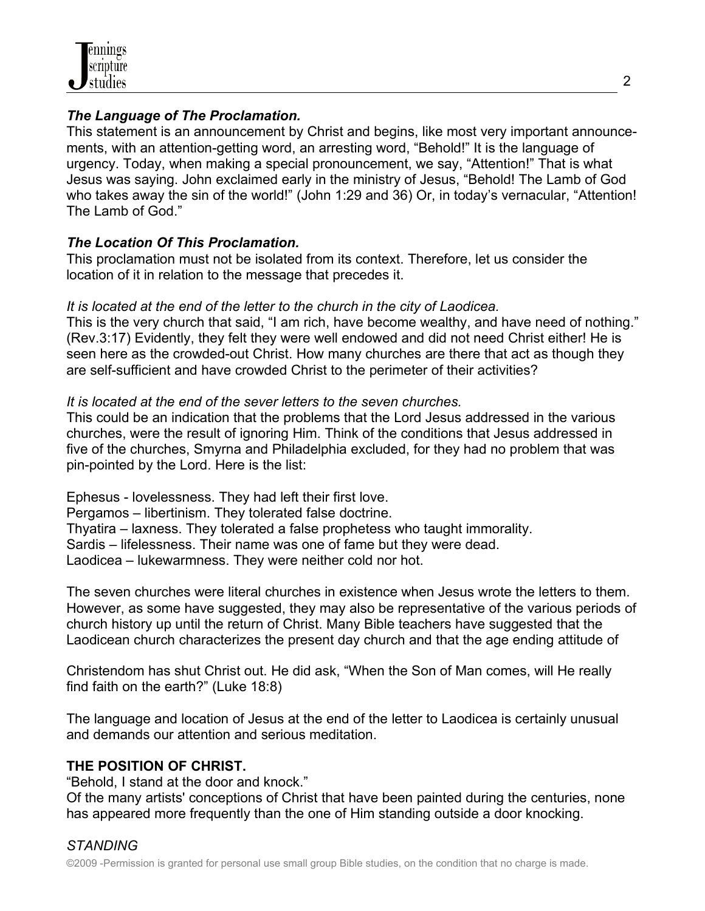## *The Language of The Proclamation.*

This statement is an announcement by Christ and begins, like most very important announcements, with an attention-getting word, an arresting word, "Behold!" It is the language of urgency. Today, when making a special pronouncement, we say, "Attention!" That is what Jesus was saying. John exclaimed early in the ministry of Jesus, "Behold! The Lamb of God who takes away the sin of the world!" (John 1:29 and 36) Or, in today's vernacular, "Attention! The Lamb of God."

# *The Location Of This Proclamation.*

This proclamation must not be isolated from its context. Therefore, let us consider the location of it in relation to the message that precedes it.

# *It is located at the end of the letter to the church in the city of Laodicea.*

This is the very church that said, "I am rich, have become wealthy, and have need of nothing." (Rev.3:17) Evidently, they felt they were well endowed and did not need Christ either! He is seen here as the crowded-out Christ. How many churches are there that act as though they are self-sufficient and have crowded Christ to the perimeter of their activities?

# *It is located at the end of the sever letters to the seven churches.*

This could be an indication that the problems that the Lord Jesus addressed in the various churches, were the result of ignoring Him. Think of the conditions that Jesus addressed in five of the churches, Smyrna and Philadelphia excluded, for they had no problem that was pin-pointed by the Lord. Here is the list:

Ephesus - lovelessness. They had left their first love. Pergamos – libertinism. They tolerated false doctrine. Thyatira – laxness. They tolerated a false prophetess who taught immorality. Sardis – lifelessness. Their name was one of fame but they were dead. Laodicea – lukewarmness. They were neither cold nor hot.

The seven churches were literal churches in existence when Jesus wrote the letters to them. However, as some have suggested, they may also be representative of the various periods of church history up until the return of Christ. Many Bible teachers have suggested that the Laodicean church characterizes the present day church and that the age ending attitude of

Christendom has shut Christ out. He did ask, "When the Son of Man comes, will He really find faith on the earth?" (Luke 18:8)

The language and location of Jesus at the end of the letter to Laodicea is certainly unusual and demands our attention and serious meditation.

# **THE POSITION OF CHRIST.**

"Behold, I stand at the door and knock."

Of the many artists' conceptions of Christ that have been painted during the centuries, none has appeared more frequently than the one of Him standing outside a door knocking.

# *STANDING*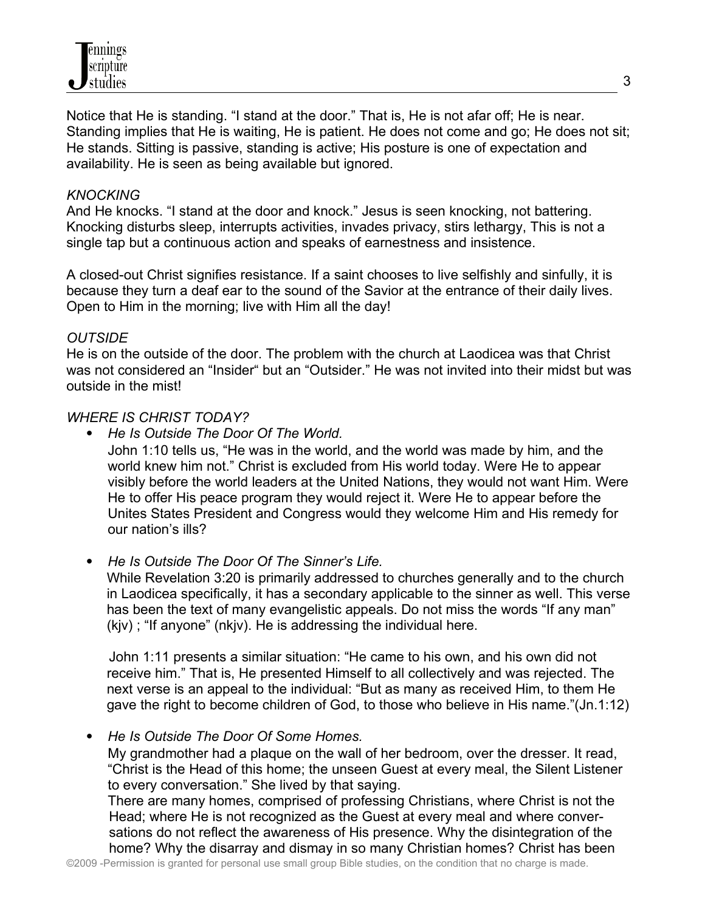Notice that He is standing. "I stand at the door." That is, He is not afar off; He is near. Standing implies that He is waiting, He is patient. He does not come and go; He does not sit; He stands. Sitting is passive, standing is active; His posture is one of expectation and availability. He is seen as being available but ignored.

#### *KNOCKING*

And He knocks. "I stand at the door and knock." Jesus is seen knocking, not battering. Knocking disturbs sleep, interrupts activities, invades privacy, stirs lethargy, This is not a single tap but a continuous action and speaks of earnestness and insistence.

A closed-out Christ signifies resistance. If a saint chooses to live selfishly and sinfully, it is because they turn a deaf ear to the sound of the Savior at the entrance of their daily lives. Open to Him in the morning; live with Him all the day!

#### *OUTSIDE*

He is on the outside of the door. The problem with the church at Laodicea was that Christ was not considered an "Insider" but an "Outsider." He was not invited into their midst but was outside in the mist!

#### *WHERE IS CHRIST TODAY?*

*He Is Outside The Door Of The World.* 

John 1:10 tells us, "He was in the world, and the world was made by him, and the world knew him not." Christ is excluded from His world today. Were He to appear visibly before the world leaders at the United Nations, they would not want Him. Were He to offer His peace program they would reject it. Were He to appear before the Unites States President and Congress would they welcome Him and His remedy for our nation's ills?

*He Is Outside The Door Of The Sinner's Life.*

While Revelation 3:20 is primarily addressed to churches generally and to the church in Laodicea specifically, it has a secondary applicable to the sinner as well. This verse has been the text of many evangelistic appeals. Do not miss the words "If any man" (kjv) ; "If anyone" (nkjv). He is addressing the individual here.

 John 1:11 presents a similar situation: "He came to his own, and his own did not receive him." That is, He presented Himself to all collectively and was rejected. The next verse is an appeal to the individual: "But as many as received Him, to them He gave the right to become children of God, to those who believe in His name."(Jn.1:12)

*He Is Outside The Door Of Some Homes.*

My grandmother had a plaque on the wall of her bedroom, over the dresser. It read, "Christ is the Head of this home; the unseen Guest at every meal, the Silent Listener to every conversation." She lived by that saying.

There are many homes, comprised of professing Christians, where Christ is not the Head; where He is not recognized as the Guest at every meal and where conver sations do not reflect the awareness of His presence. Why the disintegration of the home? Why the disarray and dismay in so many Christian homes? Christ has been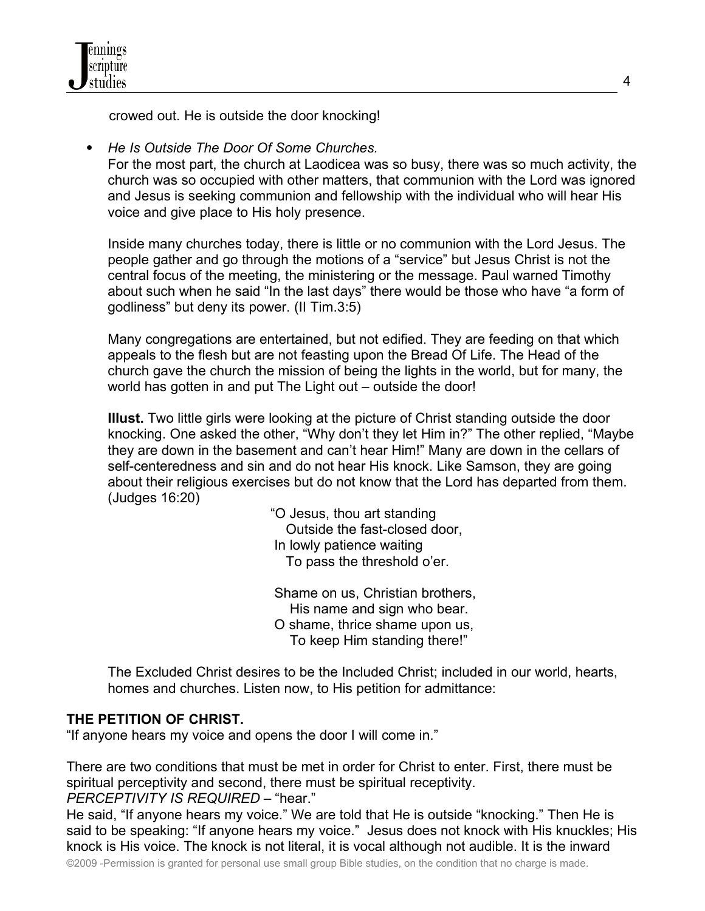crowed out. He is outside the door knocking!

*He Is Outside The Door Of Some Churches.*

For the most part, the church at Laodicea was so busy, there was so much activity, the church was so occupied with other matters, that communion with the Lord was ignored and Jesus is seeking communion and fellowship with the individual who will hear His voice and give place to His holy presence.

Inside many churches today, there is little or no communion with the Lord Jesus. The people gather and go through the motions of a "service" but Jesus Christ is not the central focus of the meeting, the ministering or the message. Paul warned Timothy about such when he said "In the last days" there would be those who have "a form of godliness" but deny its power. (II Tim.3:5)

Many congregations are entertained, but not edified. They are feeding on that which appeals to the flesh but are not feasting upon the Bread Of Life. The Head of the church gave the church the mission of being the lights in the world, but for many, the world has gotten in and put The Light out – outside the door!

**Illust.** Two little girls were looking at the picture of Christ standing outside the door knocking. One asked the other, "Why don't they let Him in?" The other replied, "Maybe they are down in the basement and can't hear Him!" Many are down in the cellars of self-centeredness and sin and do not hear His knock. Like Samson, they are going about their religious exercises but do not know that the Lord has departed from them. (Judges 16:20)

> "O Jesus, thou art standing Outside the fast-closed door, In lowly patience waiting To pass the threshold o'er.

 Shame on us, Christian brothers, His name and sign who bear. O shame, thrice shame upon us, To keep Him standing there!"

The Excluded Christ desires to be the Included Christ; included in our world, hearts, homes and churches. Listen now, to His petition for admittance:

# **THE PETITION OF CHRIST.**

"If anyone hears my voice and opens the door I will come in."

There are two conditions that must be met in order for Christ to enter. First, there must be spiritual perceptivity and second, there must be spiritual receptivity. *PERCEPTIVITY IS REQUIRED –* "hear."

He said, "If anyone hears my voice." We are told that He is outside "knocking." Then He is said to be speaking: "If anyone hears my voice." Jesus does not knock with His knuckles; His knock is His voice. The knock is not literal, it is vocal although not audible. It is the inward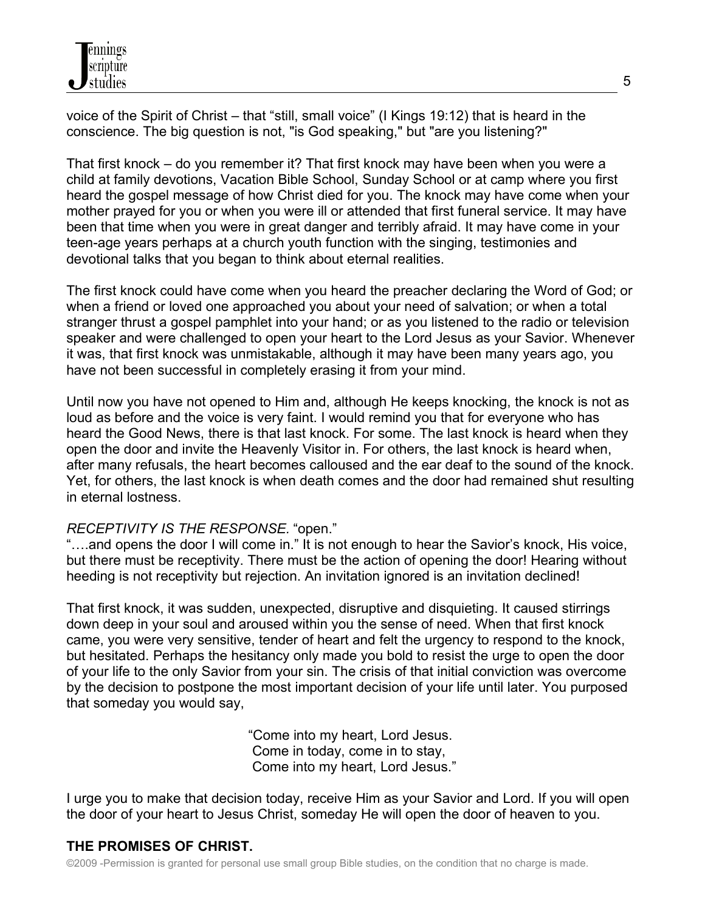voice of the Spirit of Christ – that "still, small voice" (I Kings 19:12) that is heard in the conscience. The big question is not, "is God speaking," but "are you listening?"

That first knock – do you remember it? That first knock may have been when you were a child at family devotions, Vacation Bible School, Sunday School or at camp where you first heard the gospel message of how Christ died for you. The knock may have come when your mother prayed for you or when you were ill or attended that first funeral service. It may have been that time when you were in great danger and terribly afraid. It may have come in your teen-age years perhaps at a church youth function with the singing, testimonies and devotional talks that you began to think about eternal realities.

The first knock could have come when you heard the preacher declaring the Word of God; or when a friend or loved one approached you about your need of salvation; or when a total stranger thrust a gospel pamphlet into your hand; or as you listened to the radio or television speaker and were challenged to open your heart to the Lord Jesus as your Savior. Whenever it was, that first knock was unmistakable, although it may have been many years ago, you have not been successful in completely erasing it from your mind.

Until now you have not opened to Him and, although He keeps knocking, the knock is not as loud as before and the voice is very faint. I would remind you that for everyone who has heard the Good News, there is that last knock. For some. The last knock is heard when they open the door and invite the Heavenly Visitor in. For others, the last knock is heard when, after many refusals, the heart becomes calloused and the ear deaf to the sound of the knock. Yet, for others, the last knock is when death comes and the door had remained shut resulting in eternal lostness.

#### *RECEPTIVITY IS THE RESPONSE.* "open."

...and opens the door I will come in." It is not enough to hear the Savior's knock, His voice, but there must be receptivity. There must be the action of opening the door! Hearing without heeding is not receptivity but rejection. An invitation ignored is an invitation declined!

That first knock, it was sudden, unexpected, disruptive and disquieting. It caused stirrings down deep in your soul and aroused within you the sense of need. When that first knock came, you were very sensitive, tender of heart and felt the urgency to respond to the knock, but hesitated. Perhaps the hesitancy only made you bold to resist the urge to open the door of your life to the only Savior from your sin. The crisis of that initial conviction was overcome by the decision to postpone the most important decision of your life until later. You purposed that someday you would say,

> "Come into my heart, Lord Jesus. Come in today, come in to stay, Come into my heart, Lord Jesus."

I urge you to make that decision today, receive Him as your Savior and Lord. If you will open the door of your heart to Jesus Christ, someday He will open the door of heaven to you.

## **THE PROMISES OF CHRIST.**

©2009 -Permission is granted for personal use small group Bible studies, on the condition that no charge is made.